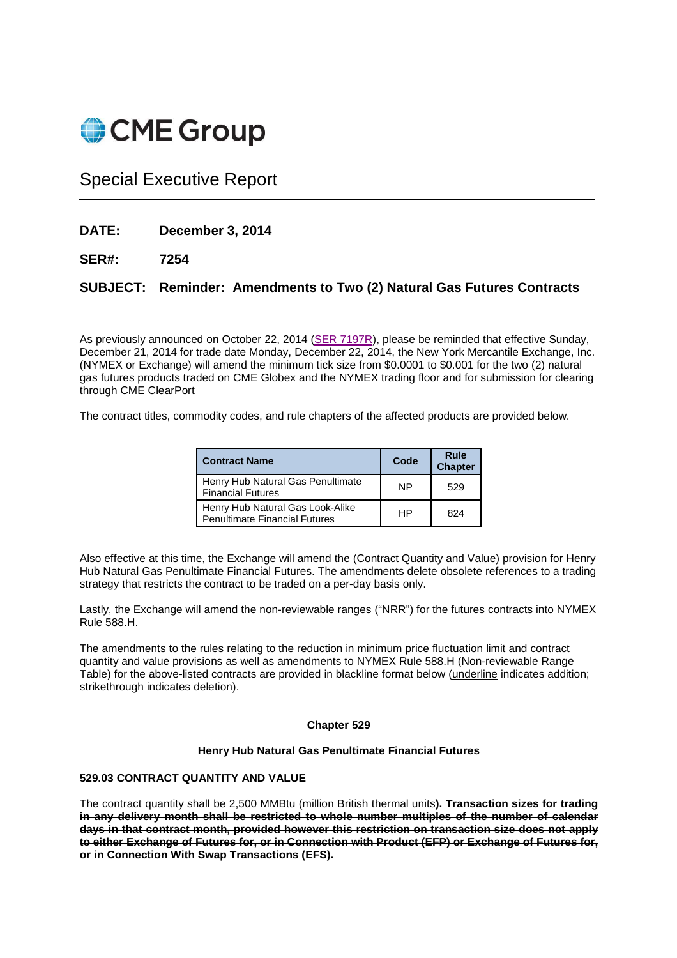# CME Group

## Special Executive Report

- **DATE: December 3, 2014**
- **SER#: 7254**

### **SUBJECT: Reminder: Amendments to Two (2) Natural Gas Futures Contracts**

As previously announced on October 22, 2014 (SER 7197R), please be reminded that effective Sunday, December 21, 2014 for trade date Monday, December 22, 2014, the New York Mercantile Exchange, Inc. (NYMEX or Exchange) will amend the minimum tick size from \$0.0001 to \$0.001 for the two (2) natural gas futures products traded on CME Globex and the NYMEX trading floor and for submission for clearing through CME ClearPort

The contract titles, commodity codes, and rule chapters of the affected products are provided below.

| <b>Contract Name</b>                                                     | Code      | Rule<br><b>Chapter</b> |
|--------------------------------------------------------------------------|-----------|------------------------|
| Henry Hub Natural Gas Penultimate<br><b>Financial Futures</b>            | <b>NP</b> | 529                    |
| Henry Hub Natural Gas Look-Alike<br><b>Penultimate Financial Futures</b> | HP        | 824                    |

Also effective at this time, the Exchange will amend the (Contract Quantity and Value) provision for Henry Hub Natural Gas Penultimate Financial Futures. The amendments delete obsolete references to a trading strategy that restricts the contract to be traded on a per-day basis only.

Lastly, the Exchange will amend the non-reviewable ranges ("NRR") for the futures contracts into NYMEX Rule 588.H.

The amendments to the rules relating to the reduction in minimum price fluctuation limit and contract quantity and value provisions as well as amendments to NYMEX Rule 588.H (Non-reviewable Range Table) for the above-listed contracts are provided in blackline format below (underline indicates addition; strikethrough indicates deletion).

#### **Chapter 529**

#### **Henry Hub Natural Gas Penultimate Financial Futures**

#### **529.03 CONTRACT QUANTITY AND VALUE**

The contract quantity shall be 2,500 MMBtu (million British thermal units**). Transaction sizes for trading in any delivery month shall be restricted to whole number multiples of the number of calendar days in that contract month, provided however this restriction on transaction size does not apply to either Exchange of Futures for, or in Connection with Product (EFP) or Exchange of Futures for, or in Connection With Swap Transactions (EFS).**